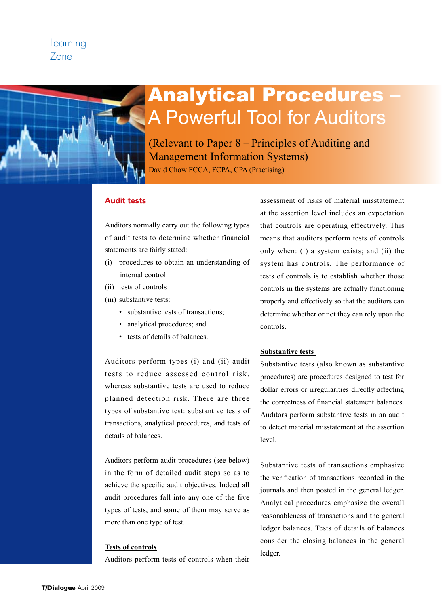# Learning Zone

# **Analytical Procedures** A Powerful Tool for Auditors

(Relevant to Paper 8 – Principles of Auditing and Management Information Systems)

David Chow FCCA, FCPA, CPA (Practising)

# **Audit tests**

Auditors normally carry out the following types of audit tests to determine whether financial statements are fairly stated:

- (i) procedures to obtain an understanding of internal control
- (ii) tests of controls
- (iii) substantive tests:
	- substantive tests of transactions;
	- analytical procedures; and
	- • tests of details of balances.

Auditors perform types (i) and (ii) audit tests to reduce assessed control risk, whereas substantive tests are used to reduce planned detection risk. There are three types of substantive test: substantive tests of transactions, analytical procedures, and tests of details of balances.

Auditors perform audit procedures (see below) in the form of detailed audit steps so as to achieve the specific audit objectives. Indeed all audit procedures fall into any one of the five types of tests, and some of them may serve as more than one type of test.

## **Tests of controls**

Auditors perform tests of controls when their

assessment of risks of material misstatement at the assertion level includes an expectation that controls are operating effectively. This means that auditors perform tests of controls only when: (i) a system exists; and (ii) the system has controls. The performance of tests of controls is to establish whether those controls in the systems are actually functioning properly and effectively so that the auditors can determine whether or not they can rely upon the controls.

#### **Substantive tests**

Substantive tests (also known as substantive procedures) are procedures designed to test for dollar errors or irregularities directly affecting the correctness of financial statement balances. Auditors perform substantive tests in an audit to detect material misstatement at the assertion level.

Substantive tests of transactions emphasize the verification of transactions recorded in the journals and then posted in the general ledger. Analytical procedures emphasize the overall reasonableness of transactions and the general ledger balances. Tests of details of balances consider the closing balances in the general ledger.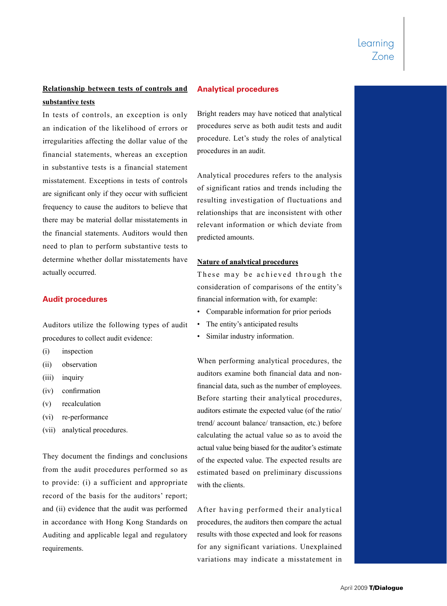# **Relationship between tests of controls and**

## **substantive tests**

In tests of controls, an exception is only an indication of the likelihood of errors or irregularities affecting the dollar value of the financial statements, whereas an exception in substantive tests is a financial statement misstatement. Exceptions in tests of controls are significant only if they occur with sufficient frequency to cause the auditors to believe that there may be material dollar misstatements in the financial statements. Auditors would then need to plan to perform substantive tests to determine whether dollar misstatements have actually occurred.

# **Audit procedures**

Auditors utilize the following types of audit procedures to collect audit evidence:

- (i) inspection
- (ii) observation
- (iii) inquiry
- (iv) confirmation
- (v) recalculation
- (vi) re-performance
- (vii) analytical procedures.

They document the findings and conclusions from the audit procedures performed so as to provide: (i) a sufficient and appropriate record of the basis for the auditors' report; and (ii) evidence that the audit was performed in accordance with Hong Kong Standards on Auditing and applicable legal and regulatory requirements.

# **Analytical procedures**

Bright readers may have noticed that analytical procedures serve as both audit tests and audit procedure. Let's study the roles of analytical procedures in an audit.

Analytical procedures refers to the analysis of significant ratios and trends including the resulting investigation of fluctuations and relationships that are inconsistent with other relevant information or which deviate from predicted amounts.

#### **Nature of analytical procedures**

These may be achieved through the consideration of comparisons of the entity's financial information with, for example:

- • Comparable information for prior periods
- The entity's anticipated results
- • Similar industry information.

When performing analytical procedures, the auditors examine both financial data and nonfinancial data, such as the number of employees. Before starting their analytical procedures, auditors estimate the expected value (of the ratio/ trend/ account balance/ transaction, etc.) before calculating the actual value so as to avoid the actual value being biased for the auditor's estimate of the expected value. The expected results are estimated based on preliminary discussions with the clients.

After having performed their analytical procedures, the auditors then compare the actual results with those expected and look for reasons for any significant variations. Unexplained variations may indicate a misstatement in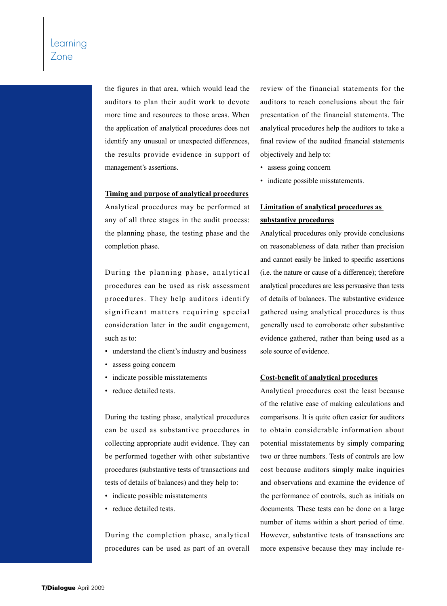the figures in that area, which would lead the auditors to plan their audit work to devote more time and resources to those areas. When the application of analytical procedures does not identify any unusual or unexpected differences, the results provide evidence in support of management's assertions.

#### **Timing and purpose of analytical procedures**

Analytical procedures may be performed at any of all three stages in the audit process: the planning phase, the testing phase and the completion phase.

During the planning phase, analytical procedures can be used as risk assessment procedures. They help auditors identify significant matters requiring special consideration later in the audit engagement, such as to:

- understand the client's industry and business
- assess going concern
- indicate possible misstatements
- reduce detailed tests.

During the testing phase, analytical procedures can be used as substantive procedures in collecting appropriate audit evidence. They can be performed together with other substantive procedures (substantive tests of transactions and tests of details of balances) and they help to:

- indicate possible misstatements
- reduce detailed tests.

During the completion phase, analytical procedures can be used as part of an overall review of the financial statements for the auditors to reach conclusions about the fair presentation of the financial statements. The analytical procedures help the auditors to take a final review of the audited financial statements objectively and help to:

- assess going concern
- indicate possible misstatements.

# **Limitation of analytical procedures as substantive procedures**

Analytical procedures only provide conclusions on reasonableness of data rather than precision and cannot easily be linked to specific assertions (i.e. the nature or cause of a difference); therefore analytical procedures are less persuasive than tests of details of balances. The substantive evidence gathered using analytical procedures is thus generally used to corroborate other substantive evidence gathered, rather than being used as a sole source of evidence.

## **Cost-benefit of analytical procedures**

Analytical procedures cost the least because of the relative ease of making calculations and comparisons. It is quite often easier for auditors to obtain considerable information about potential misstatements by simply comparing two or three numbers. Tests of controls are low cost because auditors simply make inquiries and observations and examine the evidence of the performance of controls, such as initials on documents. These tests can be done on a large number of items within a short period of time. However, substantive tests of transactions are more expensive because they may include re-